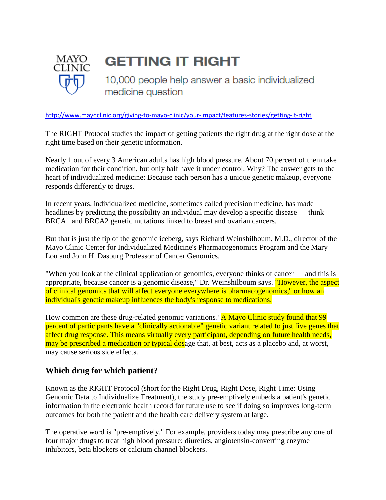

## **GETTING IT RIGHT**

10,000 people help answer a basic individualized medicine question

<http://www.mayoclinic.org/giving-to-mayo-clinic/your-impact/features-stories/getting-it-right>

The RIGHT Protocol studies the impact of getting patients the right drug at the right dose at the right time based on their genetic information.

Nearly 1 out of every 3 American adults has high blood pressure. About 70 percent of them take medication for their condition, but only half have it under control. Why? The answer gets to the heart of individualized medicine: Because each person has a unique genetic makeup, everyone responds differently to drugs.

In recent years, individualized medicine, sometimes called precision medicine, has made headlines by predicting the possibility an individual may develop a specific disease — think BRCA1 and BRCA2 genetic mutations linked to breast and ovarian cancers.

But that is just the tip of the genomic iceberg, says Richard Weinshilboum, M.D., director of the Mayo Clinic Center for Individualized Medicine's Pharmacogenomics Program and the Mary Lou and John H. Dasburg Professor of Cancer Genomics.

"When you look at the clinical application of genomics, everyone thinks of cancer — and this is appropriate, because cancer is a genomic disease," Dr. Weinshilboum says. "However, the aspect of clinical genomics that will affect everyone everywhere is pharmacogenomics," or how an individual's genetic makeup influences the body's response to medications.

How common are these drug-related genomic variations? A Mayo Clinic study found that 99 percent of participants have a "clinically actionable" genetic variant related to just five genes that affect drug response. This means virtually every participant, depending on future health needs, may be prescribed a medication or typical dosage that, at best, acts as a placebo and, at worst, may cause serious side effects.

## **Which drug for which patient?**

Known as the RIGHT Protocol (short for the Right Drug, Right Dose, Right Time: Using Genomic Data to Individualize Treatment), the study pre-emptively embeds a patient's genetic information in the electronic health record for future use to see if doing so improves long-term outcomes for both the patient and the health care delivery system at large.

The operative word is "pre-emptively." For example, providers today may prescribe any one of four major drugs to treat high blood pressure: diuretics, angiotensin-converting enzyme inhibitors, beta blockers or calcium channel blockers.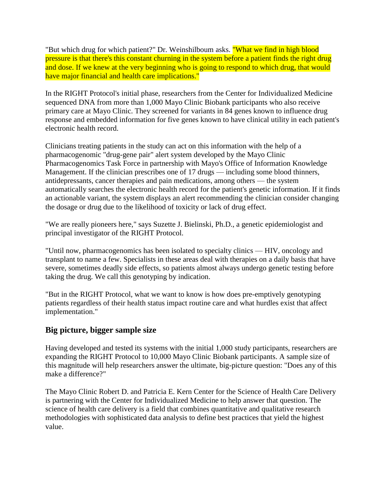"But which drug for which patient?" Dr. Weinshilboum asks. "What we find in high blood pressure is that there's this constant churning in the system before a patient finds the right drug and dose. If we knew at the very beginning who is going to respond to which drug, that would have major financial and health care implications."

In the RIGHT Protocol's initial phase, researchers from the Center for Individualized Medicine sequenced DNA from more than 1,000 Mayo Clinic Biobank participants who also receive primary care at Mayo Clinic. They screened for variants in 84 genes known to influence drug response and embedded information for five genes known to have clinical utility in each patient's electronic health record.

Clinicians treating patients in the study can act on this information with the help of a pharmacogenomic "drug-gene pair" alert system developed by the Mayo Clinic Pharmacogenomics Task Force in partnership with Mayo's Office of Information Knowledge Management. If the clinician prescribes one of 17 drugs — including some blood thinners, antidepressants, cancer therapies and pain medications, among others — the system automatically searches the electronic health record for the patient's genetic information. If it finds an actionable variant, the system displays an alert recommending the clinician consider changing the dosage or drug due to the likelihood of toxicity or lack of drug effect.

"We are really pioneers here," says Suzette J. Bielinski, Ph.D., a genetic epidemiologist and principal investigator of the RIGHT Protocol.

"Until now, pharmacogenomics has been isolated to specialty clinics — HIV, oncology and transplant to name a few. Specialists in these areas deal with therapies on a daily basis that have severe, sometimes deadly side effects, so patients almost always undergo genetic testing before taking the drug. We call this genotyping by indication.

"But in the RIGHT Protocol, what we want to know is how does pre-emptively genotyping patients regardless of their health status impact routine care and what hurdles exist that affect implementation."

## **Big picture, bigger sample size**

Having developed and tested its systems with the initial 1,000 study participants, researchers are expanding the RIGHT Protocol to 10,000 Mayo Clinic Biobank participants. A sample size of this magnitude will help researchers answer the ultimate, big-picture question: "Does any of this make a difference?"

The Mayo Clinic Robert D. and Patricia E. Kern Center for the Science of Health Care Delivery is partnering with the Center for Individualized Medicine to help answer that question. The science of health care delivery is a field that combines quantitative and qualitative research methodologies with sophisticated data analysis to define best practices that yield the highest value.